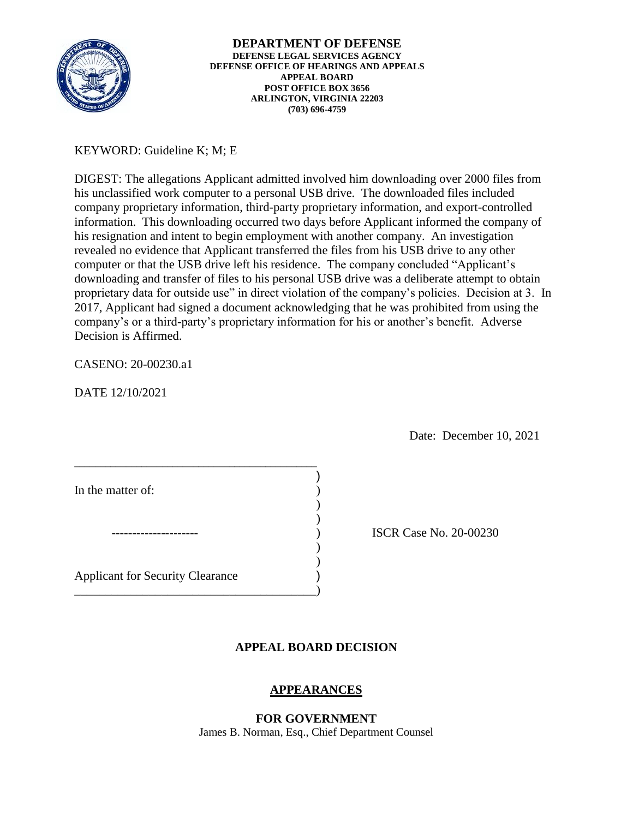

# KEYWORD: Guideline K; M; E

 his resignation and intent to begin employment with another company. An investigation DIGEST: The allegations Applicant admitted involved him downloading over 2000 files from his unclassified work computer to a personal USB drive. The downloaded files included company proprietary information, third-party proprietary information, and export-controlled information. This downloading occurred two days before Applicant informed the company of revealed no evidence that Applicant transferred the files from his USB drive to any other computer or that the USB drive left his residence. The company concluded "Applicant's downloading and transfer of files to his personal USB drive was a deliberate attempt to obtain proprietary data for outside use" in direct violation of the company's policies. Decision at 3. In 2017, Applicant had signed a document acknowledging that he was prohibited from using the company's or a third-party's proprietary information for his or another's benefit. Adverse Decision is Affirmed.

# CASENO: 20-00230.a1

DATE 12/10/2021

Date: December 10, 2021

| In the matter of:                       |  |
|-----------------------------------------|--|
|                                         |  |
|                                         |  |
| <b>Applicant for Security Clearance</b> |  |

\_\_\_\_\_\_\_\_\_\_\_\_\_\_\_\_\_\_\_\_\_\_\_\_\_\_\_\_\_\_\_\_\_\_\_\_\_\_\_\_\_\_\_\_\_\_\_

ISCR Case No. 20-00230

# **APPEAL BOARD DECISION**

# **APPEARANCES**

**FOR GOVERNMENT**  James B. Norman, Esq., Chief Department Counsel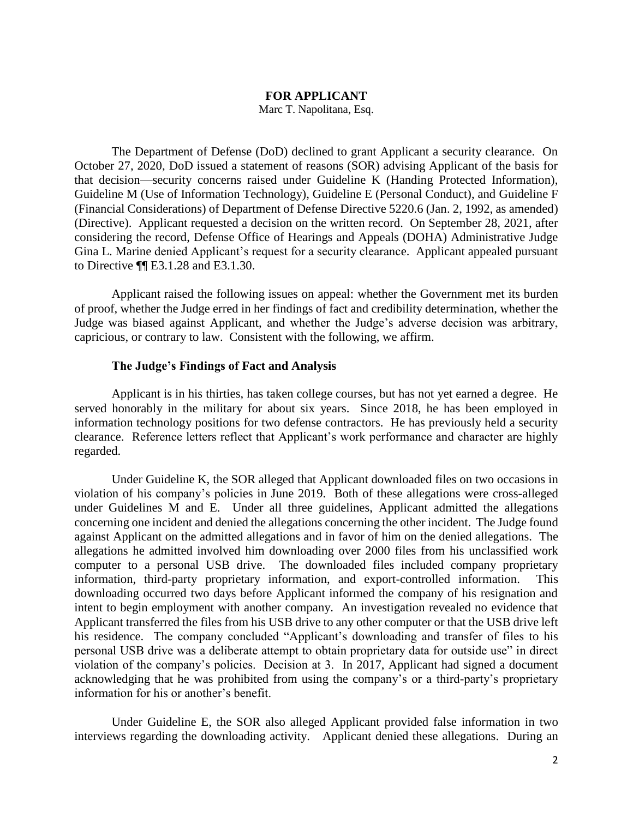## **FOR APPLICANT**

Marc T. Napolitana, Esq.

 The Department of Defense (DoD) declined to grant Applicant a security clearance. On October 27, 2020, DoD issued a statement of reasons (SOR) advising Applicant of the basis for Guideline M (Use of Information Technology), Guideline E (Personal Conduct), and Guideline F (Financial Considerations) of Department of Defense Directive 5220.6 (Jan. 2, 1992, as amended) (Directive). Applicant requested a decision on the written record. On September 28, 2021, after considering the record, Defense Office of Hearings and Appeals (DOHA) Administrative Judge Gina L. Marine denied Applicant's request for a security clearance. Applicant appealed pursuant that decision—security concerns raised under Guideline K (Handing Protected Information), to Directive ¶¶ E3.1.28 and E3.1.30.

 Applicant raised the following issues on appeal: whether the Government met its burden of proof, whether the Judge erred in her findings of fact and credibility determination, whether the capricious, or contrary to law. Consistent with the following, we affirm. Judge was biased against Applicant, and whether the Judge's adverse decision was arbitrary,

## **The Judge's Findings of Fact and Analysis**

 Applicant is in his thirties, has taken college courses, but has not yet earned a degree. He served honorably in the military for about six years. Since 2018, he has been employed in information technology positions for two defense contractors. He has previously held a security clearance. Reference letters reflect that Applicant's work performance and character are highly regarded.

 violation of his company's policies in June 2019. Both of these allegations were cross-alleged concerning one incident and denied the allegations concerning the other incident. The Judge found against Applicant on the admitted allegations and in favor of him on the denied allegations. The computer to a personal USB drive. The downloaded files included company proprietary information, third-party proprietary information, and export-controlled information. This downloading occurred two days before Applicant informed the company of his resignation and intent to begin employment with another company. An investigation revealed no evidence that Applicant transferred the files from his USB drive to any other computer or that the USB drive left his residence. The company concluded "Applicant's downloading and transfer of files to his personal USB drive was a deliberate attempt to obtain proprietary data for outside use" in direct violation of the company's policies. Decision at 3. In 2017, Applicant had signed a document acknowledging that he was prohibited from using the company's or a third-party's proprietary Under Guideline K, the SOR alleged that Applicant downloaded files on two occasions in under Guidelines M and E. Under all three guidelines, Applicant admitted the allegations allegations he admitted involved him downloading over 2000 files from his unclassified work information for his or another's benefit.

 interviews regarding the downloading activity. Applicant denied these allegations. During an Under Guideline E, the SOR also alleged Applicant provided false information in two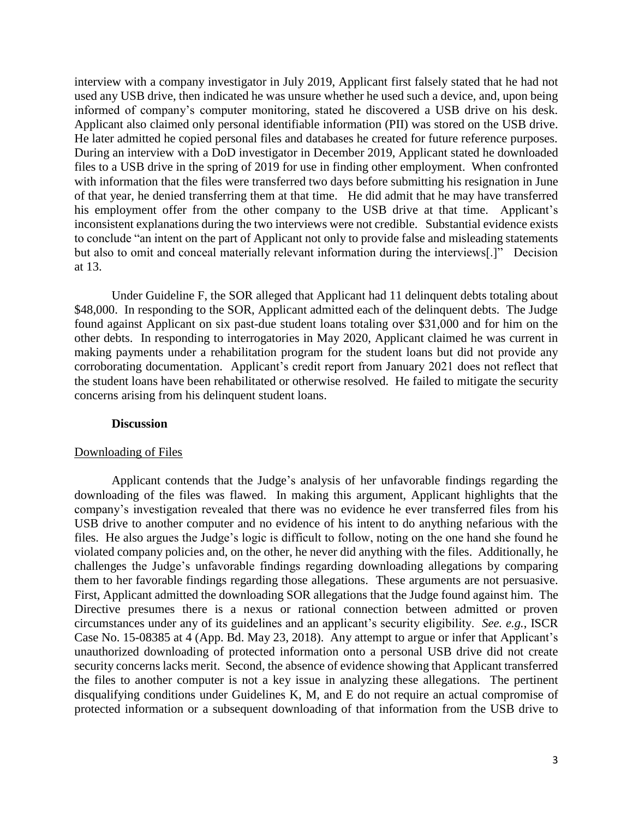interview with a company investigator in July 2019, Applicant first falsely stated that he had not used any USB drive, then indicated he was unsure whether he used such a device, and, upon being informed of company's computer monitoring, stated he discovered a USB drive on his desk. Applicant also claimed only personal identifiable information (PII) was stored on the USB drive. Applicant also claimed only personal identifiable information (PII) was stored on the USB drive. He later admitted he copied personal files and databases he created for future reference purposes. During an interview with a DoD investigator in December 2019, Applicant stated he downloaded with information that the files were transferred two days before submitting his resignation in June of that year, he denied transferring them at that time. He did admit that he may have transferred his employment offer from the other company to the USB drive at that time. Applicant's inconsistent explanations during the two interviews were not credible. Substantial evidence exists to conclude "an intent on the part of Applicant not only to provide false and misleading statements but also to omit and conceal materially relevant information during the interviews[.]" Decision files to a USB drive in the spring of 2019 for use in finding other employment. When confronted at 13.

\$48,000. In responding to the SOR, Applicant admitted each of the delinquent debts. The Judge found against Applicant on six past-due student loans totaling over \$31,000 and for him on the other debts. In responding to interrogatories in May 2020, Applicant claimed he was current in making payments under a rehabilitation program for the student loans but did not provide any Under Guideline F, the SOR alleged that Applicant had 11 delinquent debts totaling about corroborating documentation. Applicant's credit report from January 2021 does not reflect that the student loans have been rehabilitated or otherwise resolved. He failed to mitigate the security concerns arising from his delinquent student loans.

### **Discussion**

### Downloading of Files

 Applicant contends that the Judge's analysis of her unfavorable findings regarding the downloading of the files was flawed. In making this argument, Applicant highlights that the company's investigation revealed that there was no evidence he ever transferred files from his USB drive to another computer and no evidence of his intent to do anything nefarious with the files. He also argues the Judge's logic is difficult to follow, noting on the one hand she found he First, Applicant admitted the downloading SOR allegations that the Judge found against him. The Directive presumes there is a nexus or rational connection between admitted or proven circumstances under any of its guidelines and an applicant's security eligibility. *See. e.g.*, ISCR Case No. 15-08385 at 4 (App. Bd. May 23, 2018). Any attempt to argue or infer that Applicant's unauthorized downloading of protected information onto a personal USB drive did not create security concerns lacks merit. Second, the absence of evidence showing that Applicant transferred the files to another computer is not a key issue in analyzing these allegations. The pertinent protected information or a subsequent downloading of that information from the USB drive to violated company policies and, on the other, he never did anything with the files. Additionally, he challenges the Judge's unfavorable findings regarding downloading allegations by comparing them to her favorable findings regarding those allegations. These arguments are not persuasive. disqualifying conditions under Guidelines K, M, and E do not require an actual compromise of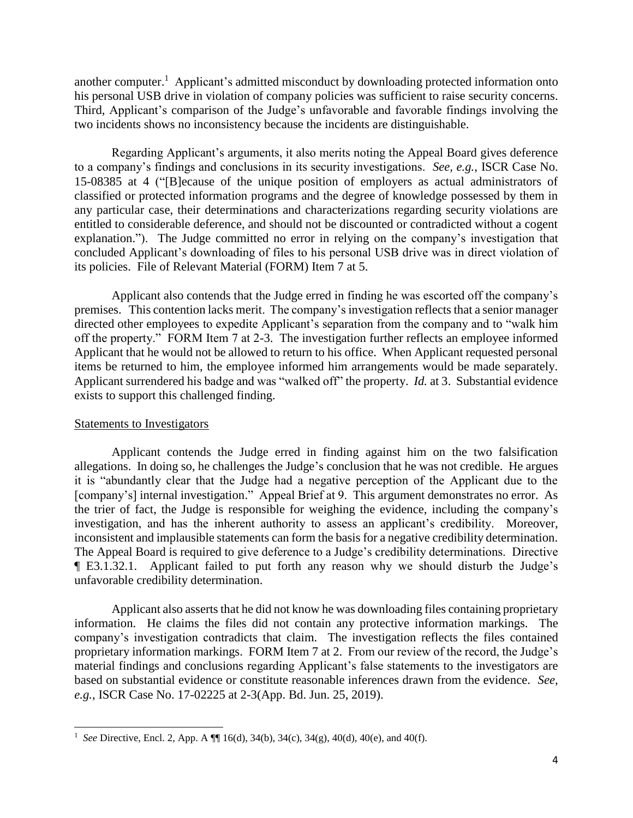another computer.<sup>1</sup> Applicant's admitted misconduct by downloading protected information onto his personal USB drive in violation of company policies was sufficient to raise security concerns. Third, Applicant's comparison of the Judge's unfavorable and favorable findings involving the two incidents shows no inconsistency because the incidents are distinguishable.

 to a company's findings and conclusions in its security investigations. *See, e.g.*, ISCR Case No. any particular case, their determinations and characterizations regarding security violations are entitled to considerable deference, and should not be discounted or contradicted without a cogent explanation."). The Judge committed no error in relying on the company's investigation that concluded Applicant's downloading of files to his personal USB drive was in direct violation of Regarding Applicant's arguments, it also merits noting the Appeal Board gives deference 15-08385 at 4 ("[B]ecause of the unique position of employers as actual administrators of classified or protected information programs and the degree of knowledge possessed by them in its policies. File of Relevant Material (FORM) Item 7 at 5.

 premises. This contention lacks merit. The company's investigation reflects that a senior manager off the property." FORM Item 7 at 2-3. The investigation further reflects an employee informed items be returned to him, the employee informed him arrangements would be made separately. Applicant surrendered his badge and was "walked off" the property. *Id.* at 3. Substantial evidence exists to support this challenged finding.<br>Statements to Investigators Applicant also contends that the Judge erred in finding he was escorted off the company's directed other employees to expedite Applicant's separation from the company and to "walk him Applicant that he would not be allowed to return to his office. When Applicant requested personal

 $\overline{a}$ 

 Applicant contends the Judge erred in finding against him on the two falsification allegations. In doing so, he challenges the Judge's conclusion that he was not credible. He argues it is "abundantly clear that the Judge had a negative perception of the Applicant due to the [company's] internal investigation." Appeal Brief at 9. This argument demonstrates no error. As the trier of fact, the Judge is responsible for weighing the evidence, including the company's investigation, and has the inherent authority to assess an applicant's credibility. Moreover, inconsistent and implausible statements can form the basis for a negative credibility determination. ¶ E3.1.32.1. Applicant failed to put forth any reason why we should disturb the Judge's The Appeal Board is required to give deference to a Judge's credibility determinations. Directive unfavorable credibility determination.

 information. He claims the files did not contain any protective information markings. The proprietary information markings. FORM Item 7 at 2. From our review of the record, the Judge's Applicant also asserts that he did not know he was downloading files containing proprietary company's investigation contradicts that claim. The investigation reflects the files contained material findings and conclusions regarding Applicant's false statements to the investigators are based on substantial evidence or constitute reasonable inferences drawn from the evidence. *See, e.g.*, ISCR Case No. 17-02225 at 2-3(App. Bd. Jun. 25, 2019).

<sup>&</sup>lt;sup>1</sup> See Directive, Encl. 2, App. A  $\P$  16(d), 34(b), 34(c), 34(g), 40(d), 40(e), and 40(f).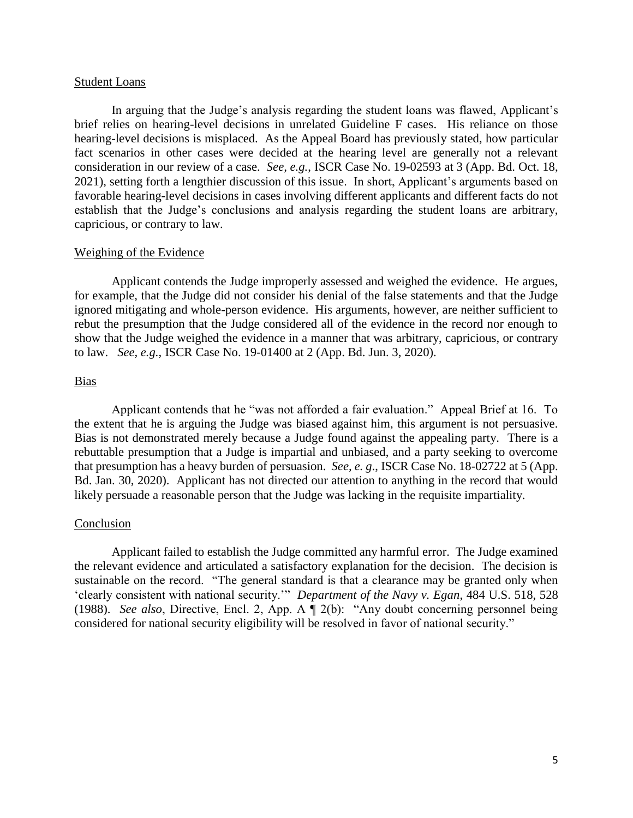## Student Loans

 In arguing that the Judge's analysis regarding the student loans was flawed, Applicant's brief relies on hearing-level decisions in unrelated Guideline F cases. His reliance on those fact scenarios in other cases were decided at the hearing level are generally not a relevant 2021), setting forth a lengthier discussion of this issue. In short, Applicant's arguments based on hearing-level decisions is misplaced. As the Appeal Board has previously stated, how particular consideration in our review of a case. *See, e.g.*, ISCR Case No. 19-02593 at 3 (App. Bd. Oct. 18, favorable hearing-level decisions in cases involving different applicants and different facts do not establish that the Judge's conclusions and analysis regarding the student loans are arbitrary, capricious, or contrary to law.

## Weighing of the Evidence

 Applicant contends the Judge improperly assessed and weighed the evidence. He argues, rebut the presumption that the Judge considered all of the evidence in the record nor enough to show that the Judge weighed the evidence in a manner that was arbitrary, capricious, or contrary for example, that the Judge did not consider his denial of the false statements and that the Judge ignored mitigating and whole-person evidence. His arguments, however, are neither sufficient to to law. *See, e.g.*, ISCR Case No. 19-01400 at 2 (App. Bd. Jun. 3, 2020).

## Bias

 Applicant contends that he "was not afforded a fair evaluation." Appeal Brief at 16. To the extent that he is arguing the Judge was biased against him, this argument is not persuasive. Bias is not demonstrated merely because a Judge found against the appealing party. There is a rebuttable presumption that a Judge is impartial and unbiased, and a party seeking to overcome that presumption has a heavy burden of persuasion. *See, e. g*., ISCR Case No. 18-02722 at 5 (App. Bd. Jan. 30, 2020). Applicant has not directed our attention to anything in the record that would likely persuade a reasonable person that the Judge was lacking in the requisite impartiality.

### Conclusion

 Applicant failed to establish the Judge committed any harmful error. The Judge examined the relevant evidence and articulated a satisfactory explanation for the decision. The decision is sustainable on the record. "The general standard is that a clearance may be granted only when 'clearly consistent with national security.'" *Department of the Navy v. Egan*, 484 U.S. 518, 528 (1988). *See also*, Directive, Encl. 2, App. A ¶ 2(b): "Any doubt concerning personnel being considered for national security eligibility will be resolved in favor of national security."